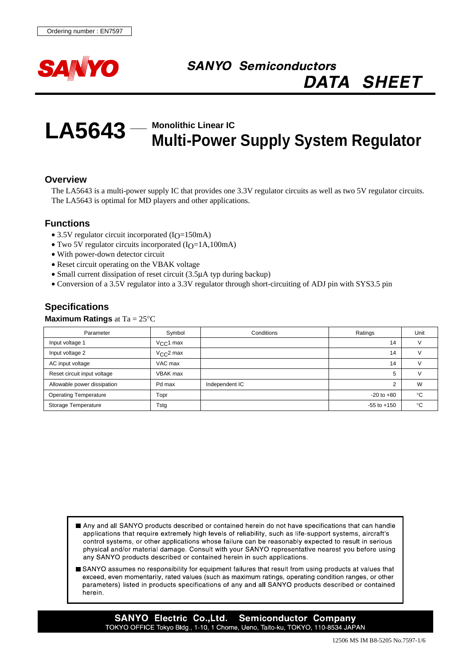

# **SANYO Semiconductors DATA SHEET**

#### **LA5643 Monolithic Linear IC Multi-Power Supply System Regulator**

## **Overview**

The LA5643 is a multi-power supply IC that provides one 3.3V regulator circuits as well as two 5V regulator circuits. The LA5643 is optimal for MD players and other applications.

## **Functions**

- 3.5V regulator circuit incorporated  $(I<sub>O</sub>=150mA)$
- Two 5V regulator circuits incorporated  $(I_0=1A,100mA)$
- With power-down detector circuit
- Reset circuit operating on the VBAK voltage
- Small current dissipation of reset circuit (3.5µA typ during backup)
- Conversion of a 3.5V regulator into a 3.3V regulator through short-circuiting of ADJ pin with SYS3.5 pin

## **Specifications**

#### **Maximum Ratings** at Ta = 25°C

| Parameter                    | Symbol             | Conditions     | Ratings         | Unit |
|------------------------------|--------------------|----------------|-----------------|------|
| Input voltage 1              | $V_{\rm CC}$ 1 max |                | 14              |      |
| Input voltage 2              | $V_{C}C2$ max      |                | 14              |      |
| AC input voltage             | VAC max            |                | 14              |      |
| Reset circuit input voltage  | VBAK max           |                | 5               |      |
| Allowable power dissipation  | Pd max             | Independent IC | 2               | W    |
| <b>Operating Temperature</b> | Topr               |                | $-20$ to $+80$  | °C   |
| Storage Temperature          | Tstg               |                | $-55$ to $+150$ | °C   |

- Any and all SANYO products described or contained herein do not have specifications that can handle applications that require extremely high levels of reliability, such as life-support systems, aircraft's control systems, or other applications whose failure can be reasonably expected to result in serious physical and/or material damage. Consult with your SANYO representative nearest you before using any SANYO products described or contained herein in such applications.
- SANYO assumes no responsibility for equipment failures that result from using products at values that exceed, even momentarily, rated values (such as maximum ratings, operating condition ranges, or other parameters) listed in products specifications of any and all SANYO products described or contained herein.

**SANYO Electric Co., Ltd. Semiconductor Company** TOKYO OFFICE Tokyo Bldg., 1-10, 1 Chome, Ueno, Taito-ku, TOKYO, 110-8534 JAPAN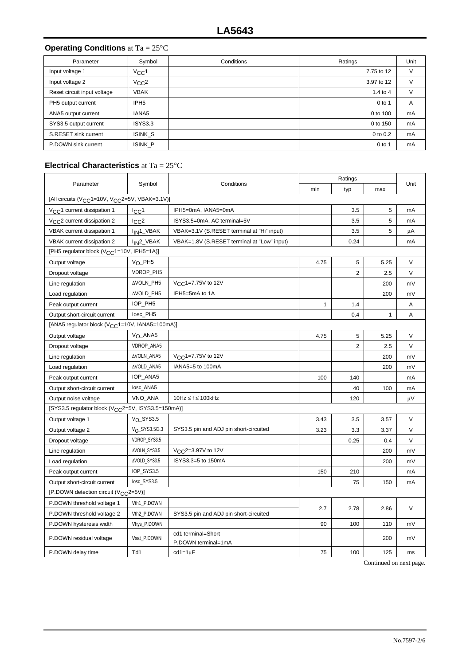## **Operating Conditions** at Ta = 25°C

| Parameter                   | Symbol                | Conditions | Ratings      | Unit |
|-----------------------------|-----------------------|------------|--------------|------|
| Input voltage 1             | $V_{CC}$ 1            |            | 7.75 to 12   |      |
| Input voltage 2             | $V_{CC}$ <sup>2</sup> |            | 3.97 to 12   |      |
| Reset circuit input voltage | <b>VBAK</b>           |            | $1.4$ to $4$ |      |
| PH5 output current          | IPH <sub>5</sub>      |            | $0$ to 1     | A    |
| ANA5 output current         | IANA <sub>5</sub>     |            | 0 to 100     | mA   |
| SYS3.5 output current       | ISYS3.3               |            | 0 to 150     | mA   |
| S.RESET sink current        | <b>ISINK S</b>        |            | 0 to 0.2     | mA   |
| P.DOWN sink current         | ISINK P               |            | $0$ to 1     | mA   |

#### **Electrical Characteristics** at Ta = 25°C

| Parameter                                                               | Symbol                 | Conditions                                  | Ratings      |                |              |        |
|-------------------------------------------------------------------------|------------------------|---------------------------------------------|--------------|----------------|--------------|--------|
|                                                                         |                        |                                             | min          | typ            | max          | Unit   |
| [All circuits (V <sub>CC</sub> 1=10V, V <sub>CC</sub> 2=5V, VBAK=3.1V)] |                        |                                             |              |                |              |        |
| V <sub>CC</sub> 1 current dissipation 1                                 | $_{\rm lCC}$ 1         | IPH5=0mA, IANA5=0mA                         |              | 3.5            | 5            | mA     |
| V <sub>CC</sub> 2 current dissipation 2                                 | 1 <sub>CC</sub> 2      | ISYS3.5=0mA, AC terminal=5V                 |              | 3.5            | 5            | mA     |
| VBAK current dissipation 1                                              | I <sub>IN</sub> 1_VBAK | VBAK=3.1V (S.RESET terminal at "Hi" input)  |              | 3.5            | 5            | μA     |
| VBAK current dissipation 2                                              | I <sub>IN</sub> 2_VBAK | VBAK=1.8V (S.RESET terminal at "Low" input) |              | 0.24           |              | mA     |
| [PH5 regulator block (V <sub>CC</sub> 1=10V, IPH5=1A)]                  |                        |                                             |              |                |              |        |
| Output voltage                                                          | V <sub>O_PH5</sub>     |                                             | 4.75         | 5              | 5.25         | V      |
| Dropout voltage                                                         | VDROP_PH5              |                                             |              | $\overline{2}$ | 2.5          | $\vee$ |
| Line regulation                                                         | AVOLN_PH5              | V <sub>CC</sub> 1=7.75V to 12V              |              |                | 200          | mV     |
| Load regulation                                                         | AVOLD_PH5              | IPH5=5mA to 1A                              |              |                | 200          | mV     |
| Peak output current                                                     | IOP_PH5                |                                             | $\mathbf{1}$ | 1.4            |              | A      |
| Output short-circuit current                                            | losc_PH5               |                                             |              | 0.4            | $\mathbf{1}$ | A      |
| [ANA5 regulator block (V <sub>CC</sub> 1=10V, IANA5=100mA)]             |                        |                                             |              |                |              |        |
| Output voltage                                                          | V <sub>O</sub> _ANA5   |                                             | 4.75         | 5              | 5.25         | V      |
| Dropout voltage                                                         | VDROP_ANA5             |                                             |              | $\overline{2}$ | 2.5          | V      |
| Line regulation                                                         | AVOLN_ANA5             | V <sub>CC</sub> 1=7.75V to 12V              |              |                | 200          | mV     |
| Load regulation                                                         | AVOLD_ANA5             | IANA5=5 to 100mA                            |              |                | 200          | mV     |
| Peak output current                                                     | IOP_ANA5               |                                             | 100          | 140            |              | mA     |
| Output short-circuit current                                            | losc_ANA5              |                                             |              | 40             | 100          | mA     |
| Output noise voltage                                                    | VNO_ANA                | 10Hz $\leq$ f $\leq$ 100kHz                 |              | 120            |              | μV     |
| [SYS3.5 regulator block (V <sub>CC</sub> 2=5V, ISYS3.5=150mA)]          |                        |                                             |              |                |              |        |
| Output voltage 1                                                        | $V_{\Omega}$ _SYS3.5   |                                             | 3.43         | 3.5            | 3.57         | V      |
| Output voltage 2                                                        | $V_0$ _SYS3.5/3.3      | SYS3.5 pin and ADJ pin short-circuited      | 3.23         | 3.3            | 3.37         | V      |
| Dropout voltage                                                         | VDROP_SYS3.5           |                                             |              | 0.25           | 0.4          | V      |
| Line regulation                                                         | <b>AVOLN SYS3.5</b>    | V <sub>CC</sub> 2=3.97V to 12V              |              |                | 200          | mV     |
| Load regulation                                                         | AVOLD_SYS3.5           | ISYS3.3=5 to 150mA                          |              |                | 200          | mV     |
| Peak output current                                                     | IOP_SYS3.5             |                                             | 150          | 210            |              | mA     |
| Output short-circuit current                                            | losc_SYS3.5            |                                             |              | 75             | 150          | mA     |
| [P.DOWN detection circuit (V <sub>CC</sub> 2=5V)]                       |                        |                                             |              |                |              |        |
| P.DOWN threshold voltage 1                                              | Vth1 P.DOWN            |                                             |              |                |              | $\vee$ |
| P.DOWN threshold voltage 2                                              | Vth2_P.DOWN            | SYS3.5 pin and ADJ pin short-circuited      | 2.7          | 2.78           | 2.86         |        |
| P.DOWN hysteresis width                                                 | Vhys_P.DOWN            |                                             | 90           | 100            | 110          | mV     |
| P.DOWN residual voltage                                                 | Vsat P.DOWN            | cd1 terminal=Short                          |              |                | 200          | mV     |
|                                                                         |                        | P.DOWN terminal=1mA                         |              |                |              |        |
| P.DOWN delay time                                                       | Td1                    | $cd1=1\mu F$                                | 75           | 100            | 125          | ms     |

Continued on next page.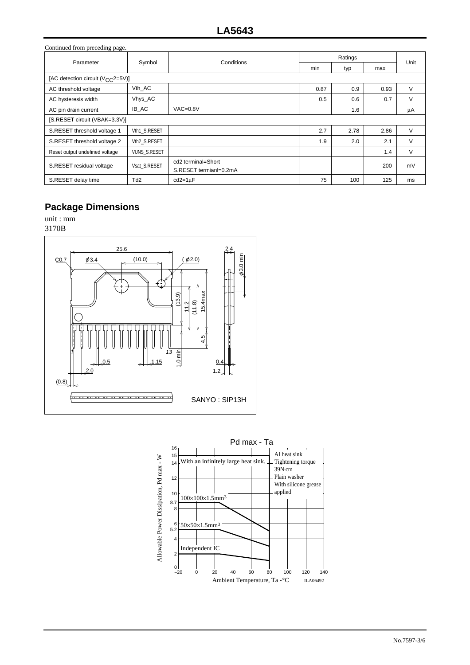| Continued from preceding page.                |                     |                                              |         |      |      |      |  |
|-----------------------------------------------|---------------------|----------------------------------------------|---------|------|------|------|--|
| Parameter                                     | Symbol              | Conditions                                   | Ratings |      |      | Unit |  |
|                                               |                     |                                              | min     | typ  | max  |      |  |
| [AC detection circuit (V <sub>CC</sub> 2=5V)] |                     |                                              |         |      |      |      |  |
| AC threshold voltage                          | Vth AC              |                                              | 0.87    | 0.9  | 0.93 | V    |  |
| AC hysteresis width                           | Vhys_AC             |                                              | 0.5     | 0.6  | 0.7  | V    |  |
| AC pin drain current                          | IB_AC               | $VAC = 0.8V$                                 |         | 1.6  |      | μA   |  |
| [S.RESET circuit (VBAK=3.3V)]                 |                     |                                              |         |      |      |      |  |
| S.RESET threshold voltage 1                   | Vth1 S.RESET        |                                              | 2.7     | 2.78 | 2.86 | V    |  |
| S.RESET threshold voltage 2                   | Vth2 S.RESET        |                                              | 1.9     | 2.0  | 2.1  | V    |  |
| Reset output undefined voltage                | <b>VUNS S.RESET</b> |                                              |         |      | 1.4  | V    |  |
| S.RESET residual voltage                      | Vsat S.RESET        | cd2 terminal=Short<br>S.RESET termianl=0.2mA |         |      | 200  | mV   |  |
| S.RESET delay time                            | Td2                 | $cd2=1\mu F$                                 | 75      | 100  | 125  | ms   |  |

# **Package Dimensions**

unit : mm 3170B



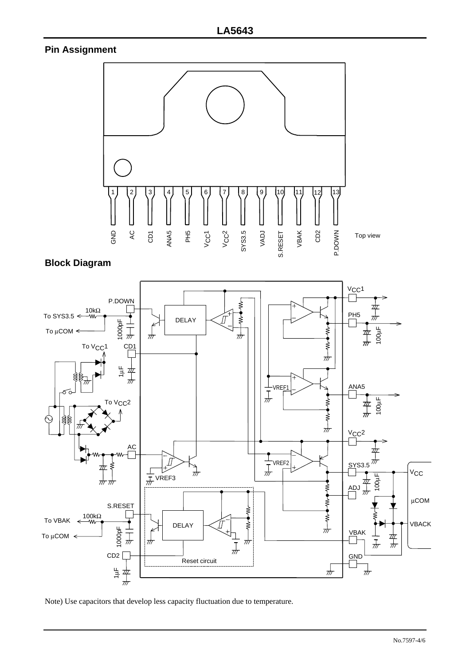## **Pin Assignment**



## **Block Diagram**



Note) Use capacitors that develop less capacity fluctuation due to temperature.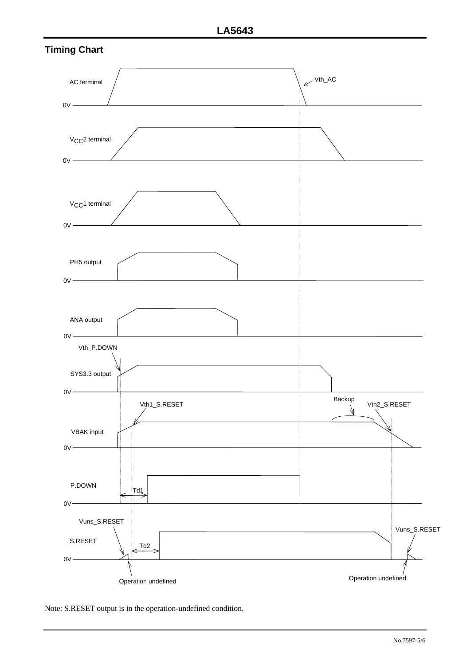



Note: S.RESET output is in the operation-undefined condition.